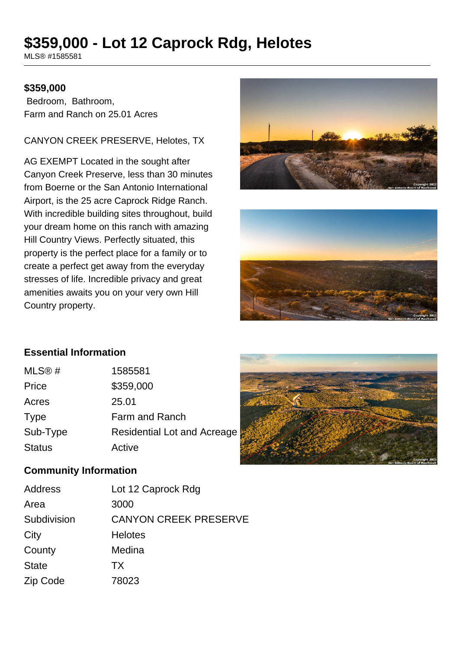# **\$359,000 - Lot 12 Caprock Rdg, Helotes**

MLS® #1585581

#### **\$359,000**

 Bedroom, Bathroom, Farm and Ranch on 25.01 Acres

CANYON CREEK PRESERVE, Helotes, TX

AG EXEMPT Located in the sought after Canyon Creek Preserve, less than 30 minutes from Boerne or the San Antonio International Airport, is the 25 acre Caprock Ridge Ranch. With incredible building sites throughout, build your dream home on this ranch with amazing Hill Country Views. Perfectly situated, this property is the perfect place for a family or to create a perfect get away from the everyday stresses of life. Incredible privacy and great amenities awaits you on your very own Hill Country property.





# **Essential Information**

| MLS@#         | 1585581                     |
|---------------|-----------------------------|
| Price         | \$359,000                   |
| Acres         | 25.01                       |
| <b>Type</b>   | Farm and Ranch              |
| Sub-Type      | Residential Lot and Acreage |
| <b>Status</b> | Active                      |



#### **Community Information**

| Address      | Lot 12 Caprock Rdg           |
|--------------|------------------------------|
| Area         | 3000                         |
| Subdivision  | <b>CANYON CREEK PRESERVE</b> |
| City         | <b>Helotes</b>               |
| County       | Medina                       |
| <b>State</b> | TX.                          |
| Zip Code     | 78023                        |